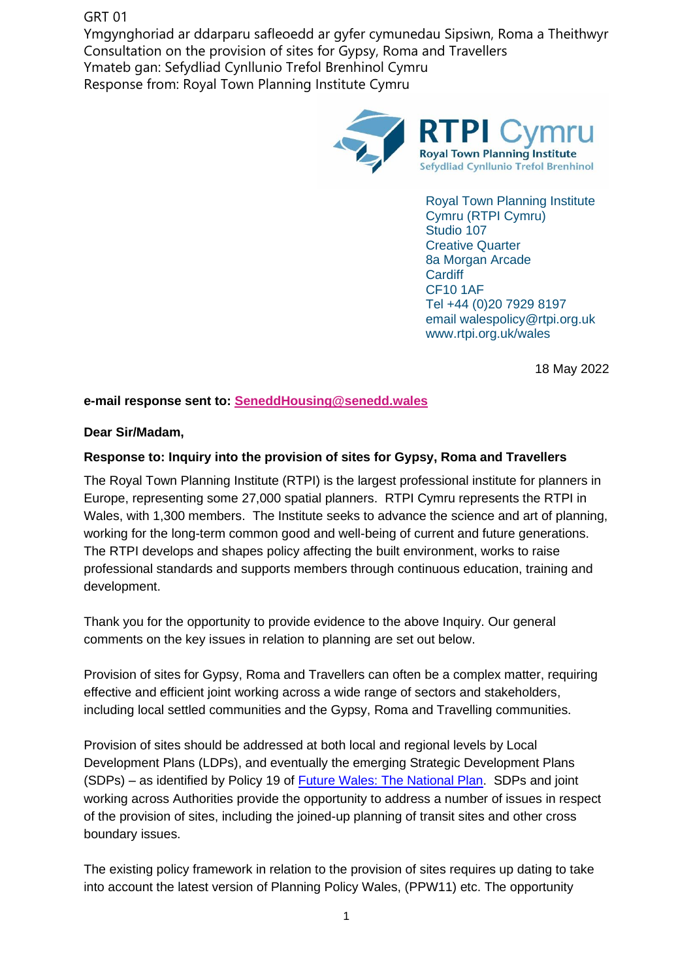## GRT 01

Ymgynghoriad ar ddarparu safleoedd ar gyfer cymunedau Sipsiwn, Roma a Theithwyr Consultation on the provision of sites for Gypsy, Roma and Travellers Ymateb gan: Sefydliad Cynllunio Trefol Brenhinol Cymru Response from: Royal Town Planning Institute Cymru



Royal Town Planning Institute Cymru (RTPI Cymru) Studio 107 Creative Quarter 8a Morgan Arcade **Cardiff** CF10 1AF Tel +44 (0)20 7929 8197 email walespolicy@rtpi.org.uk www.rtpi.org.uk/wales

18 May 2022

**e-mail response sent to: [SeneddHousing@senedd.wales](https://business.senedd.wales/SeneddHousing@senedd.wales)**

## **Dear Sir/Madam,**

## **Response to: Inquiry into the provision of sites for Gypsy, Roma and Travellers**

The Royal Town Planning Institute (RTPI) is the largest professional institute for planners in Europe, representing some 27,000 spatial planners. RTPI Cymru represents the RTPI in Wales, with 1,300 members. The Institute seeks to advance the science and art of planning, working for the long-term common good and well-being of current and future generations. The RTPI develops and shapes policy affecting the built environment, works to raise professional standards and supports members through continuous education, training and development.

Thank you for the opportunity to provide evidence to the above Inquiry. Our general comments on the key issues in relation to planning are set out below.

Provision of sites for Gypsy, Roma and Travellers can often be a complex matter, requiring effective and efficient joint working across a wide range of sectors and stakeholders, including local settled communities and the Gypsy, Roma and Travelling communities.

Provision of sites should be addressed at both local and regional levels by Local Development Plans (LDPs), and eventually the emerging Strategic Development Plans (SDPs) – as identified by Policy 19 of [Future Wales: The National Plan.](file:///C:/Users/roisinwillmott/AppData/Local/Microsoft/Windows/INetCache/Content.Outlook/80KHG9L0/Update%20to%20Future%20Wales%20-%20The%20National%20Plan%202040%20(gov.wales)) SDPs and joint working across Authorities provide the opportunity to address a number of issues in respect of the provision of sites, including the joined-up planning of transit sites and other cross boundary issues.

The existing policy framework in relation to the provision of sites requires up dating to take into account the latest version of Planning Policy Wales, (PPW11) etc. The opportunity